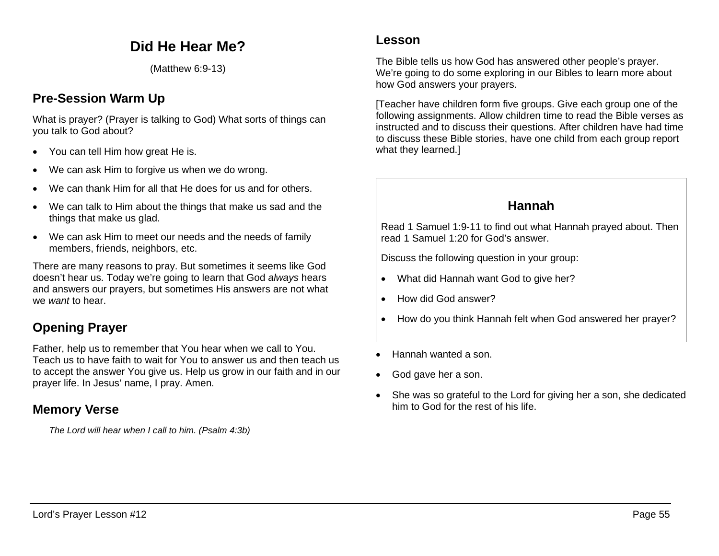# **Did He Hear Me?**

(Matthew 6:9-13)

## **Pre-Session Warm Up**

What is prayer? (Prayer is talking to God) What sorts of things can you talk to God about?

- You can tell Him how great He is.
- We can ask Him to forgive us when we do wrong.
- We can thank Him for all that He does for us and for others.
- We can talk to Him about the things that make us sad and the things that make us glad.
- We can ask Him to meet our needs and the needs of family members, friends, neighbors, etc.

There are many reasons to pray. But sometimes it seems like God doesn't hear us. Today we're going to learn that God *always* hears and answers our prayers, but sometimes His answers are not what we *want* to hear.

## **Opening Prayer**

Father, help us to remember that You hear when we call to You. Teach us to have faith to wait for You to answer us and then teach us to accept the answer You give us. Help us grow in our faith and in our prayer life. In Jesus' name, I pray. Amen.

## **Memory Verse**

*The Lord will hear when I call to him. (Psalm 4:3b)*

#### **Lesson**

The Bible tells us how God has answered other people's prayer. We're going to do some exploring in our Bibles to learn more about how God answers your prayers.

[Teacher have children form five groups. Give each group one of the following assignments. Allow children time to read the Bible verses as instructed and to discuss their questions. After children have had time to discuss these Bible stories, have one child from each group report what they learned.]

### **Hannah**

Read 1 Samuel 1:9-11 to find out what Hannah prayed about. Then read 1 Samuel 1:20 for God's answer.

Discuss the following question in your group:

- What did Hannah want God to give her?
- How did God answer?
- How do you think Hannah felt when God answered her prayer?
- Hannah wanted a son.
- God gave her a son.
- She was so grateful to the Lord for giving her a son, she dedicated him to God for the rest of his life.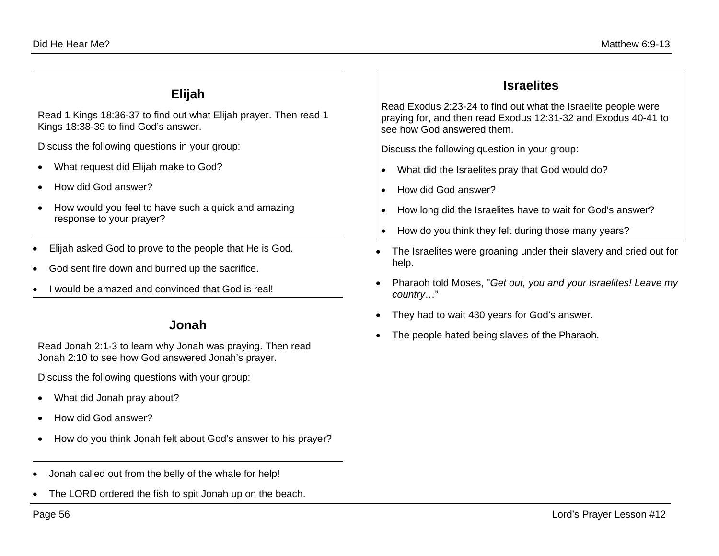#### **Elijah**

Read 1 Kings 18:36-37 to find out what Elijah prayer. Then read 1 Kings 18:38-39 to find God's answer.

Discuss the following questions in your group:

- What request did Elijah make to God?
- How did God answer?
- How would you feel to have such a quick and amazing response to your prayer?
- Elijah asked God to prove to the people that He is God.
- God sent fire down and burned up the sacrifice.
- I would be amazed and convinced that God is real!

#### **Jonah**

Read Jonah 2:1-3 to learn why Jonah was praying. Then read Jonah 2:10 to see how God answered Jonah's prayer.

Discuss the following questions with your group:

- What did Jonah pray about?
- How did God answer?
- How do you think Jonah felt about God's answer to his prayer?
- Jonah called out from the belly of the whale for help!
- The LORD ordered the fish to spit Jonah up on the beach.

## **Israelites**

Read Exodus 2:23-24 to find out what the Israelite people were praying for, and then read Exodus 12:31-32 and Exodus 40-41 to see how God answered them.

Discuss the following question in your group:

- What did the Israelites pray that God would do?
- How did God answer?
- How long did the Israelites have to wait for God's answer?
- How do you think they felt during those many years?
- The Israelites were groaning under their slavery and cried out for help.
- Pharaoh told Moses, "*Get out, you and your Israelites! Leave my country*…"
- They had to wait 430 years for God's answer.
- The people hated being slaves of the Pharaoh.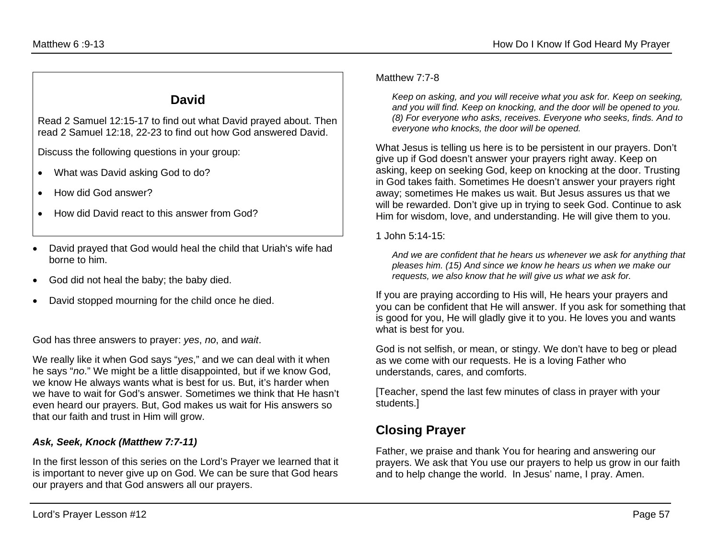### **David**

Read 2 Samuel 12:15-17 to find out what David prayed about. Then read 2 Samuel 12:18, 22-23 to find out how God answered David.

Discuss the following questions in your group:

- What was David asking God to do?
- How did God answer?
- How did David react to this answer from God?
- David prayed that God would heal the child that Uriah's wife had borne to him.
- God did not heal the baby; the baby died.
- David stopped mourning for the child once he died.

God has three answers to prayer: *yes*, *no*, and *wait*.

We really like it when God says "*yes*," and we can deal with it when he says "*no*." We might be a little disappointed, but if we know God, we know He always wants what is best for us. But, it's harder when we have to wait for God's answer. Sometimes we think that He hasn't even heard our prayers. But, God makes us wait for His answers so that our faith and trust in Him will grow.

#### *Ask, Seek, Knock (Matthew 7:7-11)*

In the first lesson of this series on the Lord's Prayer we learned that it is important to never give up on God. We can be sure that God hears our prayers and that God answers all our prayers.

#### Matthew 7:7-8

*Keep on asking, and you will receive what you ask for. Keep on seeking, and you will find. Keep on knocking, and the door will be opened to you. (8) For everyone who asks, receives. Everyone who seeks, finds. And to everyone who knocks, the door will be opened.*

What Jesus is telling us here is to be persistent in our prayers. Don't give up if God doesn't answer your prayers right away. Keep on asking, keep on seeking God, keep on knocking at the door. Trusting in God takes faith. Sometimes He doesn't answer your prayers right away; sometimes He makes us wait. But Jesus assures us that we will be rewarded. Don't give up in trying to seek God. Continue to ask Him for wisdom, love, and understanding. He will give them to you.

1 John 5:14-15:

*And we are confident that he hears us whenever we ask for anything that pleases him. (15) And since we know he hears us when we make our requests, we also know that he will give us what we ask for.*

If you are praying according to His will, He hears your prayers and you can be confident that He will answer. If you ask for something that is good for you, He will gladly give it to you. He loves you and wants what is best for you.

God is not selfish, or mean, or stingy. We don't have to beg or plead as we come with our requests. He is a loving Father who understands, cares, and comforts.

[Teacher, spend the last few minutes of class in prayer with your students.]

# **Closing Prayer**

Father, we praise and thank You for hearing and answering our prayers. We ask that You use our prayers to help us grow in our faith and to help change the world. In Jesus' name, I pray. Amen.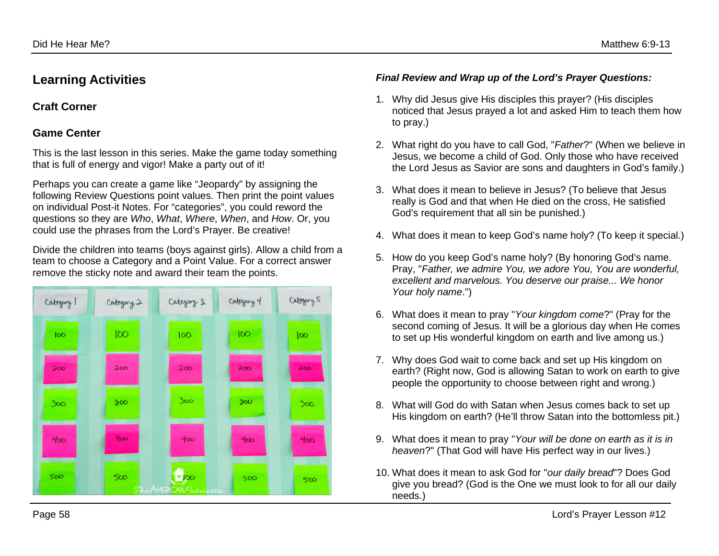### **Learning Activities**

#### **Craft Corner**

#### **Game Center**

This is the last lesson in this series. Make the game today something that is full of energy and vigor! Make a party out of it!

Perhaps you can create a game like "Jeopardy" by assigning the following Review Questions point values. Then print the point values on individual Post-it Notes. For "categories", you could reword the questions so they are *Who*, *What*, *Where*, *When*, and *How*. Or, you could use the phrases from the Lord's Prayer. Be creative!

Divide the children into teams (boys against girls). Allow a child from a team to choose a Category and a Point Value. For a correct answer remove the sticky note and award their team the points.



#### *Final Review and Wrap up of the Lord's Prayer Questions:*

- 1. Why did Jesus give His disciples this prayer? (His disciples noticed that Jesus prayed a lot and asked Him to teach them how to pray.)
- 2. What right do you have to call God, "*Father*?" (When we believe in Jesus, we become a child of God. Only those who have received the Lord Jesus as Savior are sons and daughters in God's family.)
- 3. What does it mean to believe in Jesus? (To believe that Jesus really is God and that when He died on the cross, He satisfied God's requirement that all sin be punished.)
- 4. What does it mean to keep God's name holy? (To keep it special.)
- 5. How do you keep God's name holy? (By honoring God's name. Pray, "*Father, we admire You, we adore You, You are wonderful, excellent and marvelous. You deserve our praise... We honor Your holy name*.")
- 6. What does it mean to pray "*Your kingdom come*?" (Pray for the second coming of Jesus. It will be a glorious day when He comes to set up His wonderful kingdom on earth and live among us.)
- 7. Why does God wait to come back and set up His kingdom on earth? (Right now, God is allowing Satan to work on earth to give people the opportunity to choose between right and wrong.)
- 8. What will God do with Satan when Jesus comes back to set up His kingdom on earth? (He'll throw Satan into the bottomless pit.)
- 9. What does it mean to pray "*Your will be done on earth as it is in heaven*?" (That God will have His perfect way in our lives.)
- 10. What does it mean to ask God for "*our daily bread*"? Does God give you bread? (God is the One we must look to for all our daily needs.)